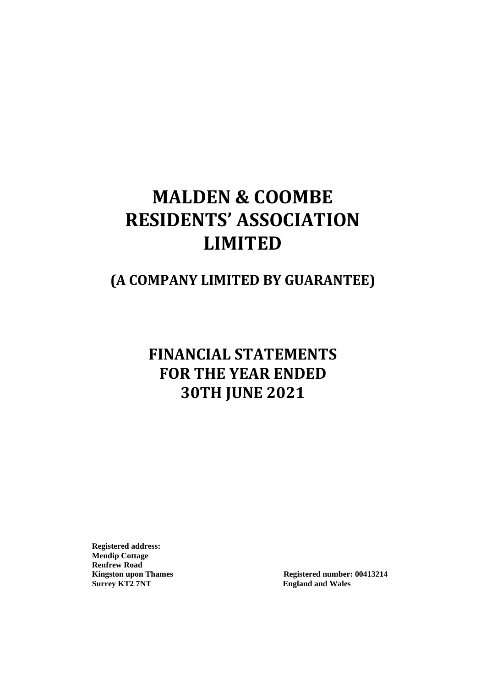# **MALDEN & COOMBE RESIDENTS' ASSOCIATION LIMITED**

## **(A COMPANY LIMITED BY GUARANTEE)**

# **FINANCIAL STATEMENTS FOR THE YEAR ENDED 30TH JUNE 2021**

**Registered address: Mendip Cottage Renfrew Road Surrey KT2 7NT England and Wales**

Kingston upon Thames Registered number: 00413214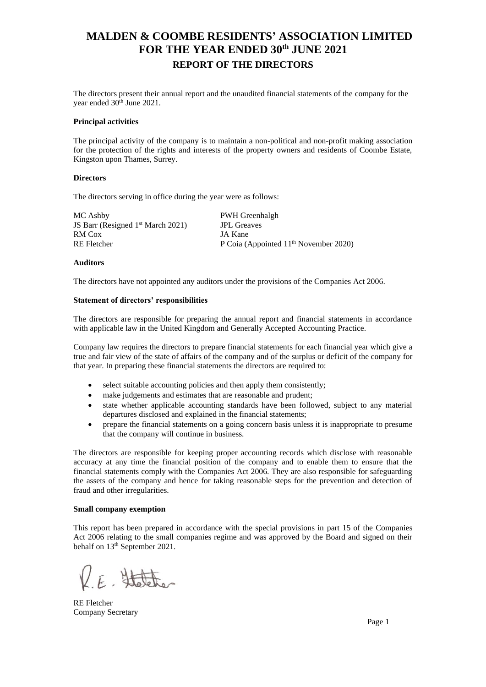### **MALDEN & COOMBE RESIDENTS' ASSOCIATION LIMITED FOR THE YEAR ENDED 30 th JUNE 2021 REPORT OF THE DIRECTORS**

The directors present their annual report and the unaudited financial statements of the company for the year ended 30<sup>th</sup> June 2021.

#### **Principal activities**

The principal activity of the company is to maintain a non-political and non-profit making association for the protection of the rights and interests of the property owners and residents of Coombe Estate, Kingston upon Thames, Surrey.

### **Directors**

The directors serving in office during the year were as follows:

MC Ashby **PWH Greenhalgh** JS Barr (Resigned 1<sup>st</sup> March 2021) JPL Greaves RM Cox JA Kane

RE Fletcher P Coia (Appointed 11<sup>th</sup> November 2020)

### **Auditors**

The directors have not appointed any auditors under the provisions of the Companies Act 2006.

### **Statement of directors' responsibilities**

The directors are responsible for preparing the annual report and financial statements in accordance with applicable law in the United Kingdom and Generally Accepted Accounting Practice.

Company law requires the directors to prepare financial statements for each financial year which give a true and fair view of the state of affairs of the company and of the surplus or deficit of the company for that year. In preparing these financial statements the directors are required to:

- select suitable accounting policies and then apply them consistently;
- make judgements and estimates that are reasonable and prudent;
- state whether applicable accounting standards have been followed, subject to any material departures disclosed and explained in the financial statements;
- prepare the financial statements on a going concern basis unless it is inappropriate to presume that the company will continue in business.

The directors are responsible for keeping proper accounting records which disclose with reasonable accuracy at any time the financial position of the company and to enable them to ensure that the financial statements comply with the Companies Act 2006. They are also responsible for safeguarding the assets of the company and hence for taking reasonable steps for the prevention and detection of fraud and other irregularities.

#### **Small company exemption**

This report has been prepared in accordance with the special provisions in part 15 of the Companies Act 2006 relating to the small companies regime and was approved by the Board and signed on their behalf on  $13<sup>th</sup>$  September 2021.

E. Statether

RE Fletcher Company Secretary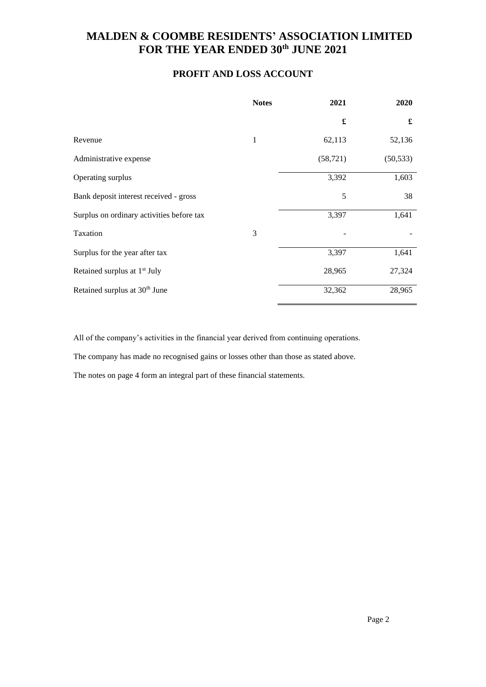### **PROFIT AND LOSS ACCOUNT**

|                                           | <b>Notes</b> | 2021      | 2020      |
|-------------------------------------------|--------------|-----------|-----------|
|                                           |              | £         | £         |
| Revenue                                   | $\mathbf{1}$ | 62,113    | 52,136    |
| Administrative expense                    |              | (58, 721) | (50, 533) |
| Operating surplus                         |              | 3,392     | 1,603     |
| Bank deposit interest received - gross    |              | 5         | 38        |
| Surplus on ordinary activities before tax |              | 3,397     | 1,641     |
| Taxation                                  | 3            |           |           |
| Surplus for the year after tax            |              | 3,397     | 1,641     |
| Retained surplus at 1 <sup>st</sup> July  |              | 28,965    | 27,324    |
| Retained surplus at 30 <sup>th</sup> June |              | 32,362    | 28,965    |

All of the company's activities in the financial year derived from continuing operations.

The company has made no recognised gains or losses other than those as stated above.

The notes on page 4 form an integral part of these financial statements.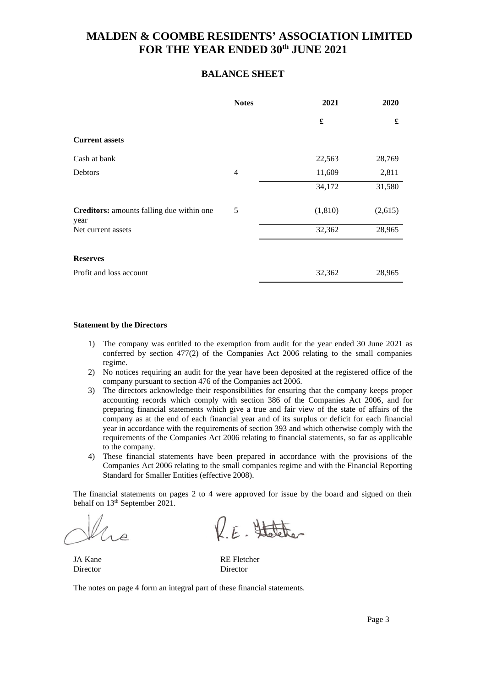### **BALANCE SHEET**

|                                                   | <b>Notes</b>   | 2021                 | 2020    |
|---------------------------------------------------|----------------|----------------------|---------|
|                                                   |                | $\pmb{\mathfrak{L}}$ | £       |
| <b>Current assets</b>                             |                |                      |         |
| Cash at bank                                      |                | 22,563               | 28,769  |
| <b>Debtors</b>                                    | $\overline{4}$ | 11,609               | 2,811   |
|                                                   |                | 34,172               | 31,580  |
| Creditors: amounts falling due within one<br>year | 5              | (1, 810)             | (2,615) |
| Net current assets                                |                | 32,362               | 28,965  |
|                                                   |                |                      |         |
| <b>Reserves</b>                                   |                |                      |         |
| Profit and loss account                           |                | 32,362               | 28,965  |

### **Statement by the Directors**

- 1) The company was entitled to the exemption from audit for the year ended 30 June 2021 as conferred by section 477(2) of the Companies Act 2006 relating to the small companies regime.
- 2) No notices requiring an audit for the year have been deposited at the registered office of the company pursuant to section 476 of the Companies act 2006.
- 3) The directors acknowledge their responsibilities for ensuring that the company keeps proper accounting records which comply with section 386 of the Companies Act 2006, and for preparing financial statements which give a true and fair view of the state of affairs of the company as at the end of each financial year and of its surplus or deficit for each financial year in accordance with the requirements of section 393 and which otherwise comply with the requirements of the Companies Act 2006 relating to financial statements, so far as applicable to the company.
- 4) These financial statements have been prepared in accordance with the provisions of the Companies Act 2006 relating to the small companies regime and with the Financial Reporting Standard for Smaller Entities (effective 2008).

The financial statements on pages 2 to 4 were approved for issue by the board and signed on their behalf on 13<sup>th</sup> September 2021.

KE. Statether

Director Director

JA Kane RE Fletcher

The notes on page 4 form an integral part of these financial statements.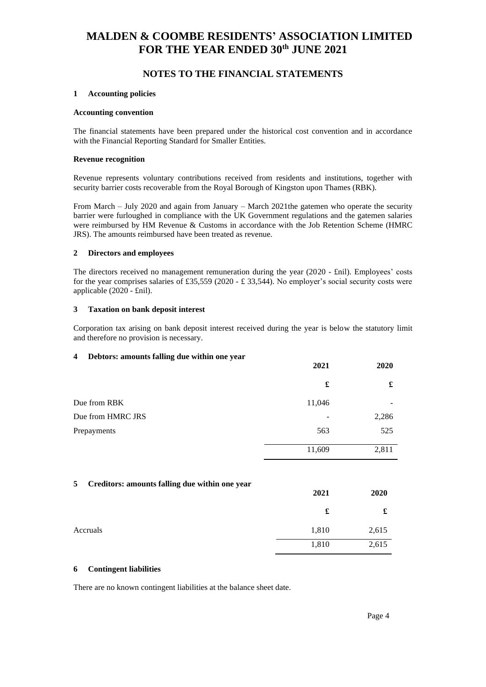### **NOTES TO THE FINANCIAL STATEMENTS**

### **1 Accounting policies**

### **Accounting convention**

The financial statements have been prepared under the historical cost convention and in accordance with the Financial Reporting Standard for Smaller Entities.

#### **Revenue recognition**

Revenue represents voluntary contributions received from residents and institutions, together with security barrier costs recoverable from the Royal Borough of Kingston upon Thames (RBK).

From March – July 2020 and again from January – March 2021the gatemen who operate the security barrier were furloughed in compliance with the UK Government regulations and the gatemen salaries were reimbursed by HM Revenue & Customs in accordance with the Job Retention Scheme (HMRC JRS). The amounts reimbursed have been treated as revenue.

### **2 Directors and employees**

The directors received no management remuneration during the year (2020 - £nil). Employees' costs for the year comprises salaries of £35,559 (2020 - £ 33,544). No employer's social security costs were applicable (2020 - £nil).

### **3 Taxation on bank deposit interest**

Corporation tax arising on bank deposit interest received during the year is below the statutory limit and therefore no provision is necessary.

### **4 Debtors: amounts falling due within one year**

|                   | 2021   | 2020  |
|-------------------|--------|-------|
|                   | £      | £     |
| Due from RBK      | 11,046 |       |
| Due from HMRC JRS | ٠      | 2,286 |
| Prepayments       | 563    | 525   |
|                   | 11,609 | 2,811 |

### **5 Creditors: amounts falling due within one year**

|          | 2021  | 2020  |
|----------|-------|-------|
|          | £     | £     |
| Accruals | 1,810 | 2,615 |
|          | 1,810 | 2,615 |

### **6 Contingent liabilities**

There are no known contingent liabilities at the balance sheet date.